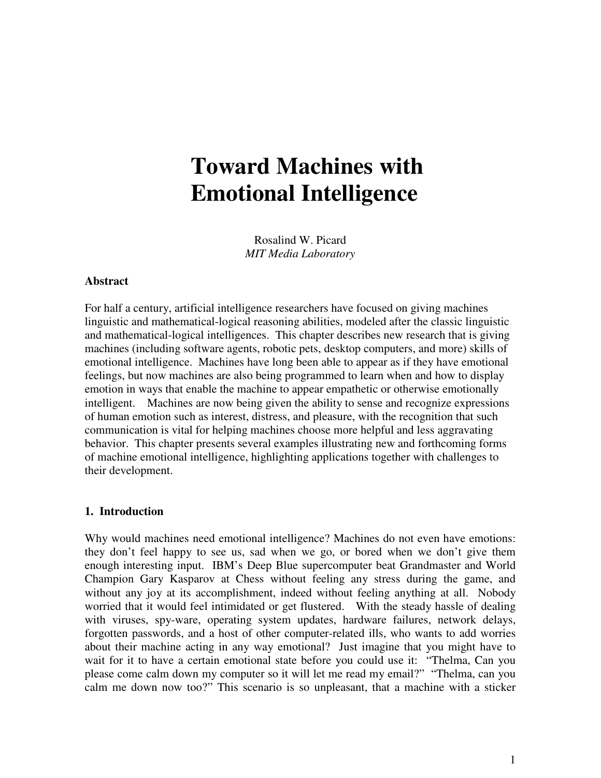# **Toward Machines with Emotional Intelligence**

Rosalind W. Picard *MIT Media Laboratory*

#### **Abstract**

For half a century, artificial intelligence researchers have focused on giving machines linguistic and mathematical-logical reasoning abilities, modeled after the classic linguistic and mathematical-logical intelligences. This chapter describes new research that is giving machines (including software agents, robotic pets, desktop computers, and more) skills of emotional intelligence. Machines have long been able to appear as if they have emotional feelings, but now machines are also being programmed to learn when and how to display emotion in ways that enable the machine to appear empathetic or otherwise emotionally intelligent. Machines are now being given the ability to sense and recognize expressions of human emotion such as interest, distress, and pleasure, with the recognition that such communication is vital for helping machines choose more helpful and less aggravating behavior. This chapter presents several examples illustrating new and forthcoming forms of machine emotional intelligence, highlighting applications together with challenges to their development.

#### **1. Introduction**

Why would machines need emotional intelligence? Machines do not even have emotions: they don't feel happy to see us, sad when we go, or bored when we don't give them enough interesting input. IBM's Deep Blue supercomputer beat Grandmaster and World Champion Gary Kasparov at Chess without feeling any stress during the game, and without any joy at its accomplishment, indeed without feeling anything at all. Nobody worried that it would feel intimidated or get flustered. With the steady hassle of dealing with viruses, spy-ware, operating system updates, hardware failures, network delays, forgotten passwords, and a host of other computer-related ills, who wants to add worries about their machine acting in any way emotional? Just imagine that you might have to wait for it to have a certain emotional state before you could use it: "Thelma, Can you please come calm down my computer so it will let me read my email?" "Thelma, can you calm me down now too?" This scenario is so unpleasant, that a machine with a sticker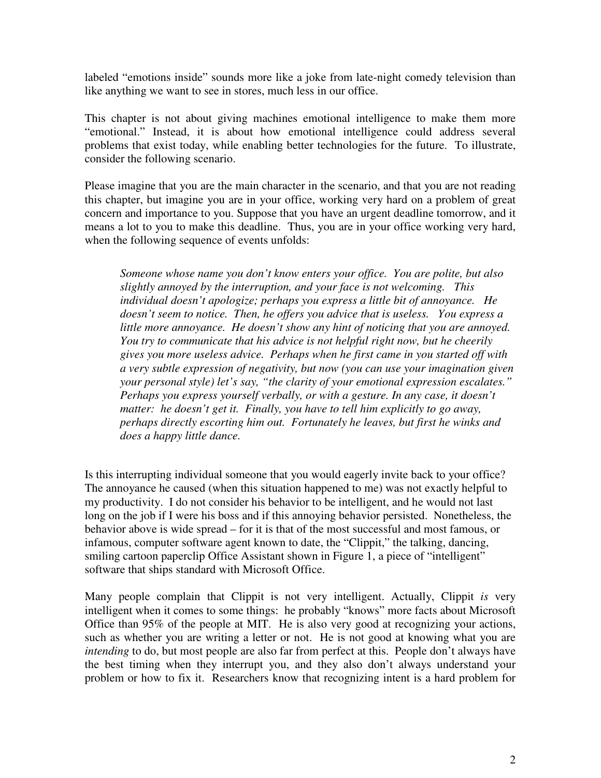labeled "emotions inside" sounds more like a joke from late-night comedy television than like anything we want to see in stores, much less in our office.

This chapter is not about giving machines emotional intelligence to make them more "emotional." Instead, it is about how emotional intelligence could address several problems that exist today, while enabling better technologies for the future. To illustrate, consider the following scenario.

Please imagine that you are the main character in the scenario, and that you are not reading this chapter, but imagine you are in your office, working very hard on a problem of great concern and importance to you. Suppose that you have an urgent deadline tomorrow, and it means a lot to you to make this deadline. Thus, you are in your office working very hard, when the following sequence of events unfolds:

*Someone whose name you don't know enters your office. You are polite, but also slightly annoyed by the interruption, and your face is not welcoming. This individual doesn't apologize; perhaps you express a little bit of annoyance. He doesn't seem to notice. Then, he offers you advice that is useless. You express a little more annoyance. He doesn't show any hint of noticing that you are annoyed. You try to communicate that his advice is not helpful right now, but he cheerily gives you more useless advice. Perhaps when he first came in you started off with a very subtle expression of negativity, but now (you can use your imagination given your personal style) let's say, "the clarity of your emotional expression escalates." Perhaps you express yourself verbally, or with a gesture. In any case, it doesn't matter: he doesn't get it. Finally, you have to tell him explicitly to go away, perhaps directly escorting him out. Fortunately he leaves, but first he winks and does a happy little dance.*

Is this interrupting individual someone that you would eagerly invite back to your office? The annoyance he caused (when this situation happened to me) was not exactly helpful to my productivity. I do not consider his behavior to be intelligent, and he would not last long on the job if I were his boss and if this annoying behavior persisted. Nonetheless, the behavior above is wide spread – for it is that of the most successful and most famous, or infamous, computer software agent known to date, the "Clippit," the talking, dancing, smiling cartoon paperclip Office Assistant shown in Figure 1, a piece of "intelligent" software that ships standard with Microsoft Office.

Many people complain that Clippit is not very intelligent. Actually, Clippit *is* very intelligent when it comes to some things: he probably "knows" more facts about Microsoft Office than 95% of the people at MIT. He is also very good at recognizing your actions, such as whether you are writing a letter or not. He is not good at knowing what you are *intending* to do, but most people are also far from perfect at this. People don't always have the best timing when they interrupt you, and they also don't always understand your problem or how to fix it. Researchers know that recognizing intent is a hard problem for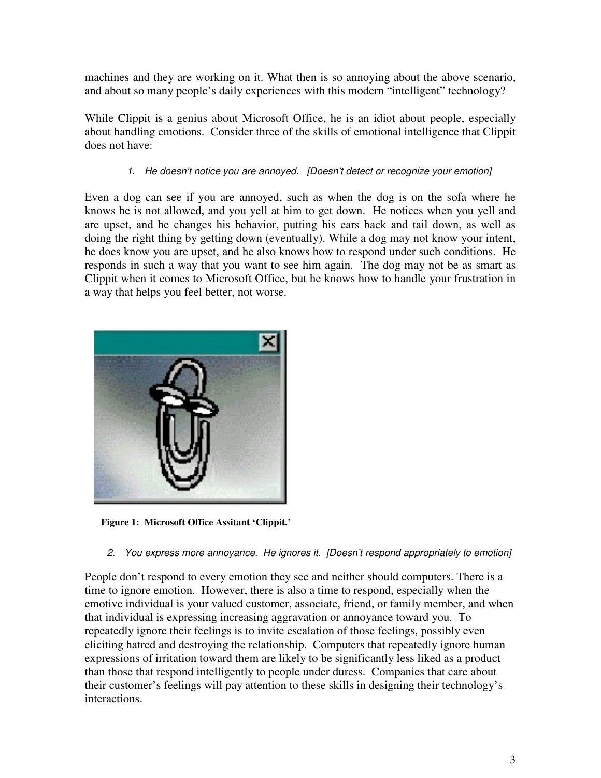machines and they are working on it. What then is so annoying about the above scenario, and about so many people's daily experiences with this modern "intelligent" technology?

While Clippit is a genius about Microsoft Office, he is an idiot about people, especially about handling emotions. Consider three of the skills of emotional intelligence that Clippit does not have:

# *1. He doesn't notice you are annoyed. [Doesn't detect or recognize your emotion]*

Even a dog can see if you are annoyed, such as when the dog is on the sofa where he knows he is not allowed, and you yell at him to get down. He notices when you yell and are upset, and he changes his behavior, putting his ears back and tail down, as well as doing the right thing by getting down (eventually). While a dog may not know your intent, he does know you are upset, and he also knows how to respond under such conditions. He responds in such a way that you want to see him again. The dog may not be as smart as Clippit when it comes to Microsoft Office, but he knows how to handle your frustration in a way that helps you feel better, not worse.



**Figure 1: Microsoft Office Assitant 'Clippit.'**

#### *2. You express more annoyance. He ignores it. [Doesn't respond appropriately to emotion]*

People don't respond to every emotion they see and neither should computers. There is a time to ignore emotion. However, there is also a time to respond, especially when the emotive individual is your valued customer, associate, friend, or family member, and when that individual is expressing increasing aggravation or annoyance toward you. To repeatedly ignore their feelings is to invite escalation of those feelings, possibly even eliciting hatred and destroying the relationship. Computers that repeatedly ignore human expressions of irritation toward them are likely to be significantly less liked as a product than those that respond intelligently to people under duress. Companies that care about their customer's feelings will pay attention to these skills in designing their technology's interactions.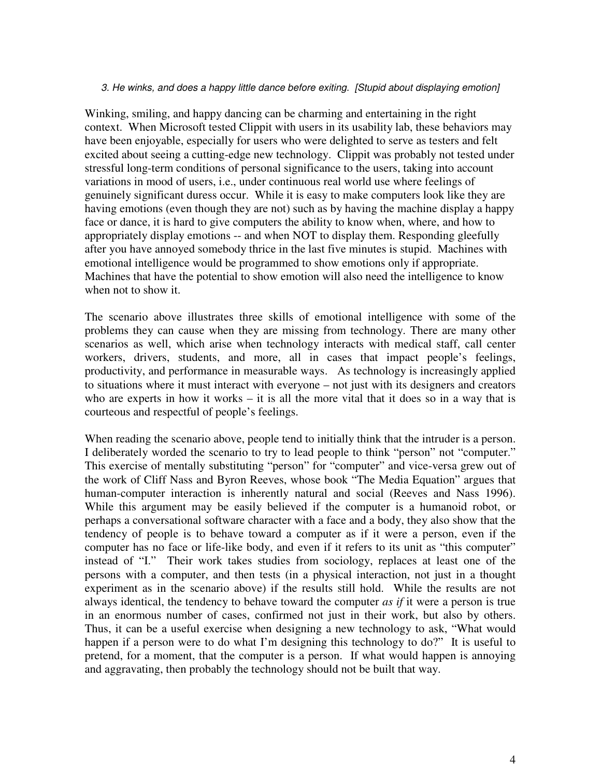#### *3. He winks, and does a happy little dance before exiting. [Stupid about displaying emotion]*

Winking, smiling, and happy dancing can be charming and entertaining in the right context. When Microsoft tested Clippit with users in its usability lab, these behaviors may have been enjoyable, especially for users who were delighted to serve as testers and felt excited about seeing a cutting-edge new technology. Clippit was probably not tested under stressful long-term conditions of personal significance to the users, taking into account variations in mood of users, i.e., under continuous real world use where feelings of genuinely significant duress occur. While it is easy to make computers look like they are having emotions (even though they are not) such as by having the machine display a happy face or dance, it is hard to give computers the ability to know when, where, and how to appropriately display emotions -- and when NOT to display them. Responding gleefully after you have annoyed somebody thrice in the last five minutes is stupid. Machines with emotional intelligence would be programmed to show emotions only if appropriate. Machines that have the potential to show emotion will also need the intelligence to know when not to show it.

The scenario above illustrates three skills of emotional intelligence with some of the problems they can cause when they are missing from technology. There are many other scenarios as well, which arise when technology interacts with medical staff, call center workers, drivers, students, and more, all in cases that impact people's feelings, productivity, and performance in measurable ways. As technology is increasingly applied to situations where it must interact with everyone – not just with its designers and creators who are experts in how it works – it is all the more vital that it does so in a way that is courteous and respectful of people's feelings.

When reading the scenario above, people tend to initially think that the intruder is a person. I deliberately worded the scenario to try to lead people to think "person" not "computer." This exercise of mentally substituting "person" for "computer" and vice-versa grew out of the work of Cliff Nass and Byron Reeves, whose book "The Media Equation" argues that human-computer interaction is inherently natural and social (Reeves and Nass 1996). While this argument may be easily believed if the computer is a humanoid robot, or perhaps a conversational software character with a face and a body, they also show that the tendency of people is to behave toward a computer as if it were a person, even if the computer has no face or life-like body, and even if it refers to its unit as "this computer" instead of "I." Their work takes studies from sociology, replaces at least one of the persons with a computer, and then tests (in a physical interaction, not just in a thought experiment as in the scenario above) if the results still hold. While the results are not always identical, the tendency to behave toward the computer *as if* it were a person is true in an enormous number of cases, confirmed not just in their work, but also by others. Thus, it can be a useful exercise when designing a new technology to ask, "What would happen if a person were to do what I'm designing this technology to do?" It is useful to pretend, for a moment, that the computer is a person. If what would happen is annoying and aggravating, then probably the technology should not be built that way.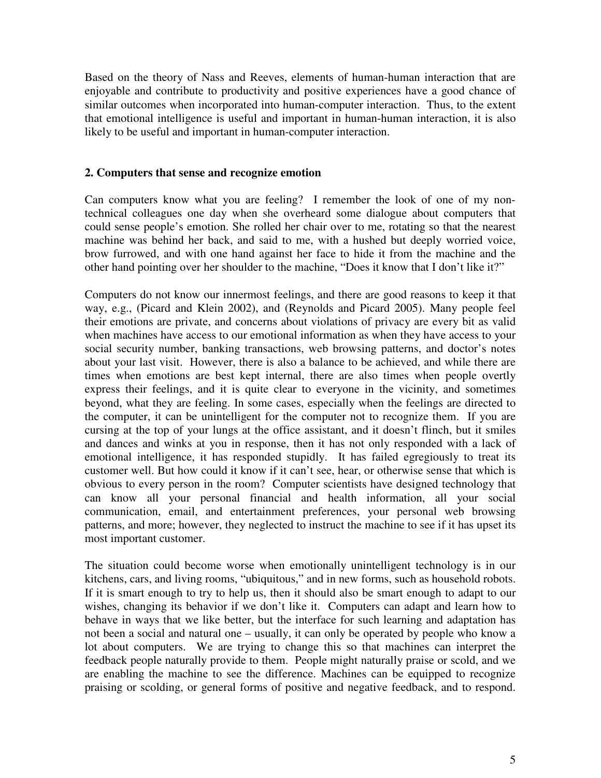Based on the theory of Nass and Reeves, elements of human-human interaction that are enjoyable and contribute to productivity and positive experiences have a good chance of similar outcomes when incorporated into human-computer interaction. Thus, to the extent that emotional intelligence is useful and important in human-human interaction, it is also likely to be useful and important in human-computer interaction.

## **2. Computers that sense and recognize emotion**

Can computers know what you are feeling? I remember the look of one of my nontechnical colleagues one day when she overheard some dialogue about computers that could sense people's emotion. She rolled her chair over to me, rotating so that the nearest machine was behind her back, and said to me, with a hushed but deeply worried voice, brow furrowed, and with one hand against her face to hide it from the machine and the other hand pointing over her shoulder to the machine, "Does it know that I don't like it?"

Computers do not know our innermost feelings, and there are good reasons to keep it that way, e.g., (Picard and Klein 2002), and (Reynolds and Picard 2005). Many people feel their emotions are private, and concerns about violations of privacy are every bit as valid when machines have access to our emotional information as when they have access to your social security number, banking transactions, web browsing patterns, and doctor's notes about your last visit. However, there is also a balance to be achieved, and while there are times when emotions are best kept internal, there are also times when people overtly express their feelings, and it is quite clear to everyone in the vicinity, and sometimes beyond, what they are feeling. In some cases, especially when the feelings are directed to the computer, it can be unintelligent for the computer not to recognize them. If you are cursing at the top of your lungs at the office assistant, and it doesn't flinch, but it smiles and dances and winks at you in response, then it has not only responded with a lack of emotional intelligence, it has responded stupidly. It has failed egregiously to treat its customer well. But how could it know if it can't see, hear, or otherwise sense that which is obvious to every person in the room? Computer scientists have designed technology that can know all your personal financial and health information, all your social communication, email, and entertainment preferences, your personal web browsing patterns, and more; however, they neglected to instruct the machine to see if it has upset its most important customer.

The situation could become worse when emotionally unintelligent technology is in our kitchens, cars, and living rooms, "ubiquitous," and in new forms, such as household robots. If it is smart enough to try to help us, then it should also be smart enough to adapt to our wishes, changing its behavior if we don't like it. Computers can adapt and learn how to behave in ways that we like better, but the interface for such learning and adaptation has not been a social and natural one – usually, it can only be operated by people who know a lot about computers. We are trying to change this so that machines can interpret the feedback people naturally provide to them. People might naturally praise or scold, and we are enabling the machine to see the difference. Machines can be equipped to recognize praising or scolding, or general forms of positive and negative feedback, and to respond.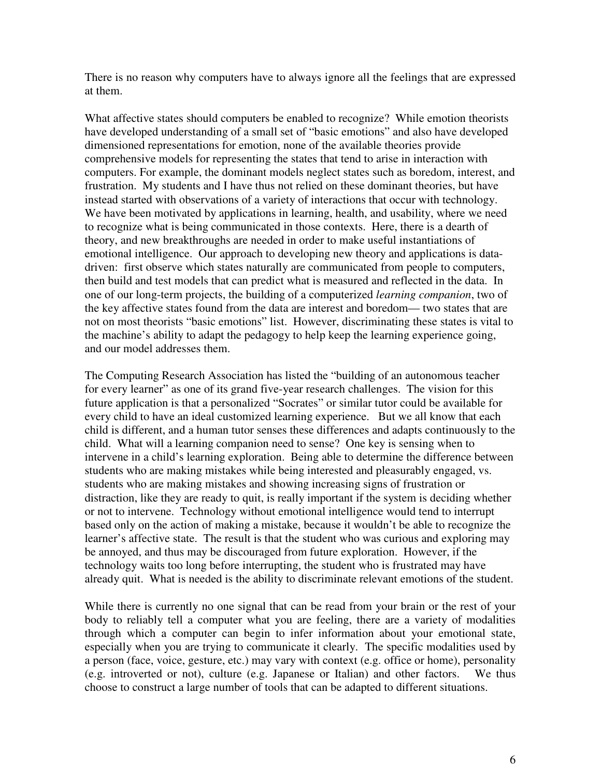There is no reason why computers have to always ignore all the feelings that are expressed at them.

What affective states should computers be enabled to recognize? While emotion theorists have developed understanding of a small set of "basic emotions" and also have developed dimensioned representations for emotion, none of the available theories provide comprehensive models for representing the states that tend to arise in interaction with computers. For example, the dominant models neglect states such as boredom, interest, and frustration. My students and I have thus not relied on these dominant theories, but have instead started with observations of a variety of interactions that occur with technology. We have been motivated by applications in learning, health, and usability, where we need to recognize what is being communicated in those contexts. Here, there is a dearth of theory, and new breakthroughs are needed in order to make useful instantiations of emotional intelligence. Our approach to developing new theory and applications is datadriven: first observe which states naturally are communicated from people to computers, then build and test models that can predict what is measured and reflected in the data. In one of our long-term projects, the building of a computerized *learning companion*, two of the key affective states found from the data are interest and boredom— two states that are not on most theorists "basic emotions" list. However, discriminating these states is vital to the machine's ability to adapt the pedagogy to help keep the learning experience going, and our model addresses them.

The Computing Research Association has listed the "building of an autonomous teacher for every learner" as one of its grand five-year research challenges. The vision for this future application is that a personalized "Socrates" or similar tutor could be available for every child to have an ideal customized learning experience. But we all know that each child is different, and a human tutor senses these differences and adapts continuously to the child. What will a learning companion need to sense? One key is sensing when to intervene in a child's learning exploration. Being able to determine the difference between students who are making mistakes while being interested and pleasurably engaged, vs. students who are making mistakes and showing increasing signs of frustration or distraction, like they are ready to quit, is really important if the system is deciding whether or not to intervene. Technology without emotional intelligence would tend to interrupt based only on the action of making a mistake, because it wouldn't be able to recognize the learner's affective state. The result is that the student who was curious and exploring may be annoyed, and thus may be discouraged from future exploration. However, if the technology waits too long before interrupting, the student who is frustrated may have already quit. What is needed is the ability to discriminate relevant emotions of the student.

While there is currently no one signal that can be read from your brain or the rest of your body to reliably tell a computer what you are feeling, there are a variety of modalities through which a computer can begin to infer information about your emotional state, especially when you are trying to communicate it clearly. The specific modalities used by a person (face, voice, gesture, etc.) may vary with context (e.g. office or home), personality (e.g. introverted or not), culture (e.g. Japanese or Italian) and other factors. We thus choose to construct a large number of tools that can be adapted to different situations.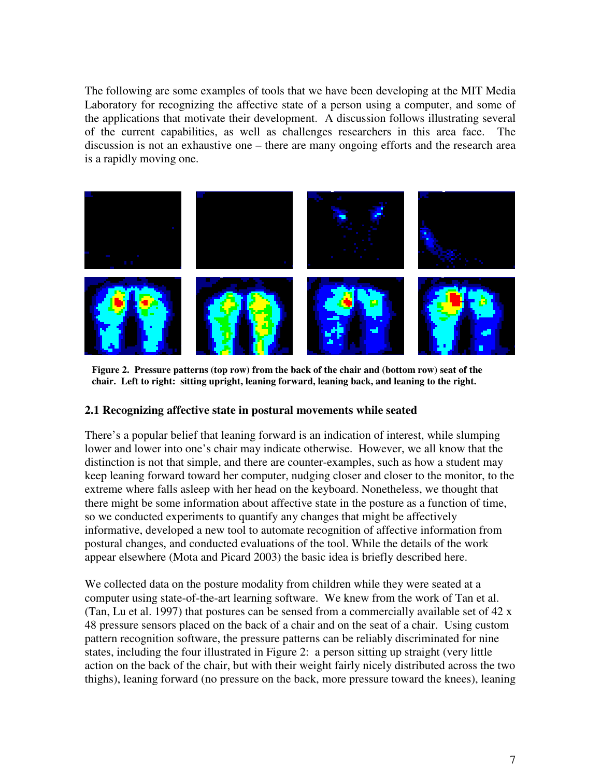The following are some examples of tools that we have been developing at the MIT Media Laboratory for recognizing the affective state of a person using a computer, and some of the applications that motivate their development. A discussion follows illustrating several of the current capabilities, as well as challenges researchers in this area face. The discussion is not an exhaustive one – there are many ongoing efforts and the research area is a rapidly moving one.



**Figure 2. Pressure patterns (top row) from the back of the chair and (bottom row) seat of the chair. Left to right: sitting upright, leaning forward, leaning back, and leaning to the right.**

#### **2.1 Recognizing affective state in postural movements while seated**

There's a popular belief that leaning forward is an indication of interest, while slumping lower and lower into one's chair may indicate otherwise. However, we all know that the distinction is not that simple, and there are counter-examples, such as how a student may keep leaning forward toward her computer, nudging closer and closer to the monitor, to the extreme where falls asleep with her head on the keyboard. Nonetheless, we thought that there might be some information about affective state in the posture as a function of time, so we conducted experiments to quantify any changes that might be affectively informative, developed a new tool to automate recognition of affective information from postural changes, and conducted evaluations of the tool. While the details of the work appear elsewhere (Mota and Picard 2003) the basic idea is briefly described here.

We collected data on the posture modality from children while they were seated at a computer using state-of-the-art learning software. We knew from the work of Tan et al. (Tan, Lu et al. 1997) that postures can be sensed from a commercially available set of 42 x 48 pressure sensors placed on the back of a chair and on the seat of a chair. Using custom pattern recognition software, the pressure patterns can be reliably discriminated for nine states, including the four illustrated in Figure 2: a person sitting up straight (very little action on the back of the chair, but with their weight fairly nicely distributed across the two thighs), leaning forward (no pressure on the back, more pressure toward the knees), leaning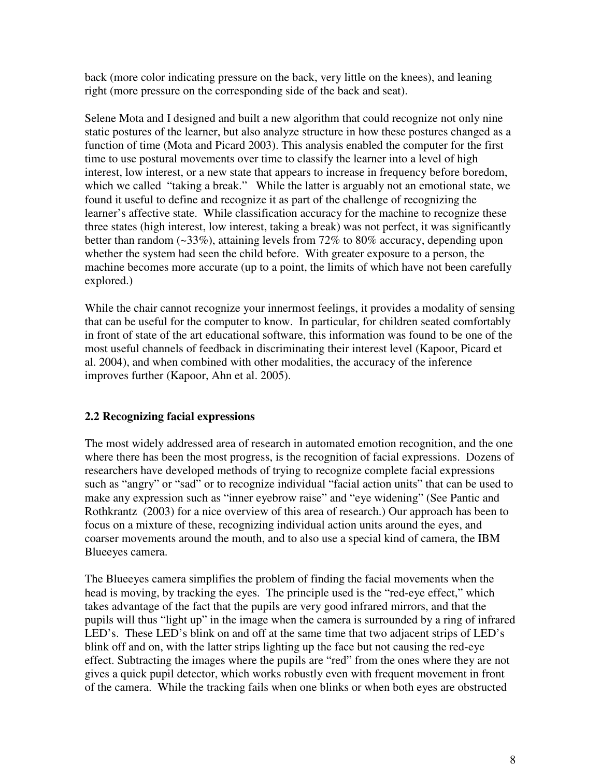back (more color indicating pressure on the back, very little on the knees), and leaning right (more pressure on the corresponding side of the back and seat).

Selene Mota and I designed and built a new algorithm that could recognize not only nine static postures of the learner, but also analyze structure in how these postures changed as a function of time (Mota and Picard 2003). This analysis enabled the computer for the first time to use postural movements over time to classify the learner into a level of high interest, low interest, or a new state that appears to increase in frequency before boredom, which we called "taking a break." While the latter is arguably not an emotional state, we found it useful to define and recognize it as part of the challenge of recognizing the learner's affective state. While classification accuracy for the machine to recognize these three states (high interest, low interest, taking a break) was not perfect, it was significantly better than random (~33%), attaining levels from 72% to 80% accuracy, depending upon whether the system had seen the child before. With greater exposure to a person, the machine becomes more accurate (up to a point, the limits of which have not been carefully explored.)

While the chair cannot recognize your innermost feelings, it provides a modality of sensing that can be useful for the computer to know. In particular, for children seated comfortably in front of state of the art educational software, this information was found to be one of the most useful channels of feedback in discriminating their interest level (Kapoor, Picard et al. 2004), and when combined with other modalities, the accuracy of the inference improves further (Kapoor, Ahn et al. 2005).

# **2.2 Recognizing facial expressions**

The most widely addressed area of research in automated emotion recognition, and the one where there has been the most progress, is the recognition of facial expressions. Dozens of researchers have developed methods of trying to recognize complete facial expressions such as "angry" or "sad" or to recognize individual "facial action units" that can be used to make any expression such as "inner eyebrow raise" and "eye widening" (See Pantic and Rothkrantz (2003) for a nice overview of this area of research.) Our approach has been to focus on a mixture of these, recognizing individual action units around the eyes, and coarser movements around the mouth, and to also use a special kind of camera, the IBM Blueeyes camera.

The Blueeyes camera simplifies the problem of finding the facial movements when the head is moving, by tracking the eyes. The principle used is the "red-eye effect," which takes advantage of the fact that the pupils are very good infrared mirrors, and that the pupils will thus "light up" in the image when the camera is surrounded by a ring of infrared LED's. These LED's blink on and off at the same time that two adjacent strips of LED's blink off and on, with the latter strips lighting up the face but not causing the red-eye effect. Subtracting the images where the pupils are "red" from the ones where they are not gives a quick pupil detector, which works robustly even with frequent movement in front of the camera. While the tracking fails when one blinks or when both eyes are obstructed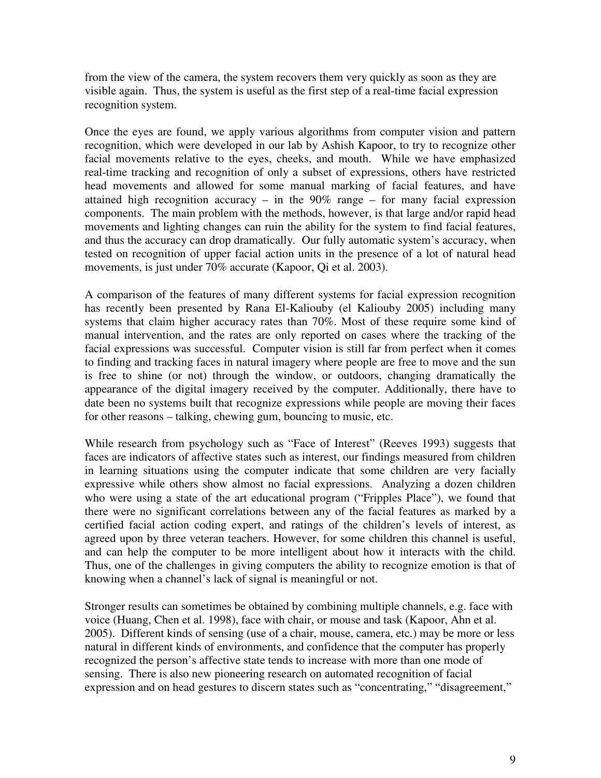from the view of the camera, the system recovers them very quickly as soon as they are visible again. Thus, the system is useful as the first step of a real-time facial expression recognition system.

Once the eyes are found, we apply various algorithms from computer vision and pattern recognition, which were developed in our lab by Ashish Kapoor, to try to recognize other facial movements relative to the eyes, cheeks, and mouth. While we have emphasized real-time tracking and recognition of only a subset of expressions, others have restricted head movements and allowed for some manual marking of facial features, and have attained high recognition accuracy – in the 90% range – for many facial expression components. The main problem with the methods, however, is that large and/or rapid head movements and lighting changes can ruin the ability for the system to find facial features, and thus the accuracy can drop dramatically. Our fully automatic system's accuracy, when tested on recognition of upper facial action units in the presence of a lot of natural head movements, is just under 70% accurate (Kapoor, Qi et al. 2003).

A comparison of the features of many different systems for facial expression recognition has recently been presented by Rana El-Kaliouby (el Kaliouby 2005) including many systems that claim higher accuracy rates than 70%. Most of these require some kind of manual intervention, and the rates are only reported on cases where the tracking of the facial expressions was successful. Computer vision is still far from perfect when it comes to finding and tracking faces in natural imagery where people are free to move and the sun is free to shine (or not) through the window, or outdoors, changing dramatically the appearance of the digital imagery received by the computer. Additionally, there have to date been no systems built that recognize expressions while people are moving their faces for other reasons – talking, chewing gum, bouncing to music, etc.

While research from psychology such as "Face of Interest" (Reeves 1993) suggests that faces are indicators of affective states such as interest, our findings measured from children in learning situations using the computer indicate that some children are very facially expressive while others show almost no facial expressions. Analyzing a dozen children who were using a state of the art educational program ("Fripples Place"), we found that there were no significant correlations between any of the facial features as marked by a certified facial action coding expert, and ratings of the children's levels of interest, as agreed upon by three veteran teachers. However, for some children this channel is useful, and can help the computer to be more intelligent about how it interacts with the child. Thus, one of the challenges in giving computers the ability to recognize emotion is that of knowing when a channel's lack of signal is meaningful or not.

Stronger results can sometimes be obtained by combining multiple channels, e.g. face with voice (Huang, Chen et al. 1998), face with chair, or mouse and task (Kapoor, Ahn et al. 2005). Different kinds of sensing (use of a chair, mouse, camera, etc.) may be more or less natural in different kinds of environments, and confidence that the computer has properly recognized the person's affective state tends to increase with more than one mode of sensing. There is also new pioneering research on automated recognition of facial expression and on head gestures to discern states such as "concentrating," "disagreement,"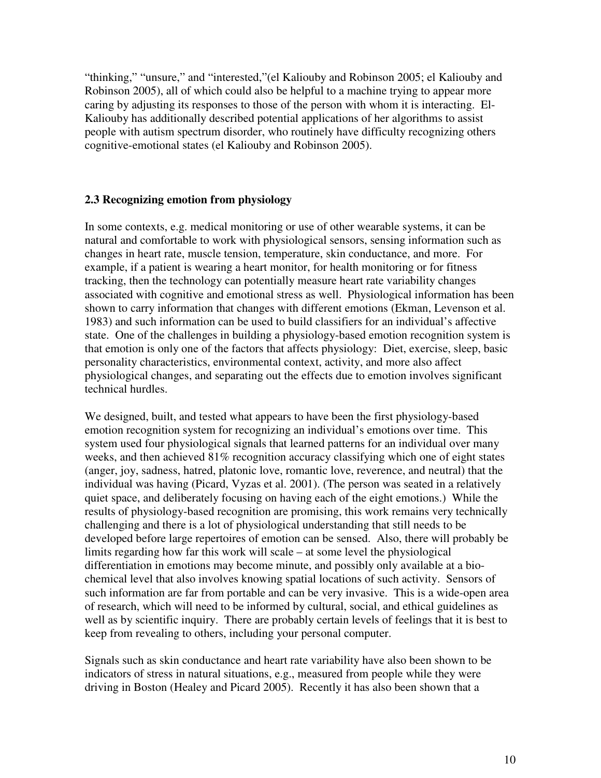"thinking," "unsure," and "interested,"(el Kaliouby and Robinson 2005; el Kaliouby and Robinson 2005), all of which could also be helpful to a machine trying to appear more caring by adjusting its responses to those of the person with whom it is interacting. El-Kaliouby has additionally described potential applications of her algorithms to assist people with autism spectrum disorder, who routinely have difficulty recognizing others cognitive-emotional states (el Kaliouby and Robinson 2005).

#### **2.3 Recognizing emotion from physiology**

In some contexts, e.g. medical monitoring or use of other wearable systems, it can be natural and comfortable to work with physiological sensors, sensing information such as changes in heart rate, muscle tension, temperature, skin conductance, and more. For example, if a patient is wearing a heart monitor, for health monitoring or for fitness tracking, then the technology can potentially measure heart rate variability changes associated with cognitive and emotional stress as well. Physiological information has been shown to carry information that changes with different emotions (Ekman, Levenson et al. 1983) and such information can be used to build classifiers for an individual's affective state. One of the challenges in building a physiology-based emotion recognition system is that emotion is only one of the factors that affects physiology: Diet, exercise, sleep, basic personality characteristics, environmental context, activity, and more also affect physiological changes, and separating out the effects due to emotion involves significant technical hurdles.

We designed, built, and tested what appears to have been the first physiology-based emotion recognition system for recognizing an individual's emotions over time. This system used four physiological signals that learned patterns for an individual over many weeks, and then achieved 81% recognition accuracy classifying which one of eight states (anger, joy, sadness, hatred, platonic love, romantic love, reverence, and neutral) that the individual was having (Picard, Vyzas et al. 2001). (The person was seated in a relatively quiet space, and deliberately focusing on having each of the eight emotions.) While the results of physiology-based recognition are promising, this work remains very technically challenging and there is a lot of physiological understanding that still needs to be developed before large repertoires of emotion can be sensed. Also, there will probably be limits regarding how far this work will scale – at some level the physiological differentiation in emotions may become minute, and possibly only available at a biochemical level that also involves knowing spatial locations of such activity. Sensors of such information are far from portable and can be very invasive. This is a wide-open area of research, which will need to be informed by cultural, social, and ethical guidelines as well as by scientific inquiry. There are probably certain levels of feelings that it is best to keep from revealing to others, including your personal computer.

Signals such as skin conductance and heart rate variability have also been shown to be indicators of stress in natural situations, e.g., measured from people while they were driving in Boston (Healey and Picard 2005). Recently it has also been shown that a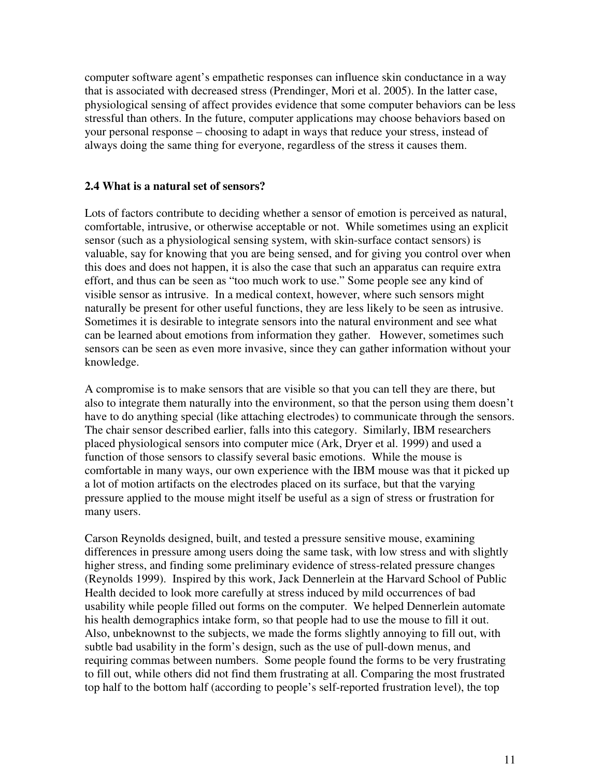computer software agent's empathetic responses can influence skin conductance in a way that is associated with decreased stress (Prendinger, Mori et al. 2005). In the latter case, physiological sensing of affect provides evidence that some computer behaviors can be less stressful than others. In the future, computer applications may choose behaviors based on your personal response – choosing to adapt in ways that reduce your stress, instead of always doing the same thing for everyone, regardless of the stress it causes them.

# **2.4 What is a natural set of sensors?**

Lots of factors contribute to deciding whether a sensor of emotion is perceived as natural, comfortable, intrusive, or otherwise acceptable or not. While sometimes using an explicit sensor (such as a physiological sensing system, with skin-surface contact sensors) is valuable, say for knowing that you are being sensed, and for giving you control over when this does and does not happen, it is also the case that such an apparatus can require extra effort, and thus can be seen as "too much work to use." Some people see any kind of visible sensor as intrusive. In a medical context, however, where such sensors might naturally be present for other useful functions, they are less likely to be seen as intrusive. Sometimes it is desirable to integrate sensors into the natural environment and see what can be learned about emotions from information they gather. However, sometimes such sensors can be seen as even more invasive, since they can gather information without your knowledge.

A compromise is to make sensors that are visible so that you can tell they are there, but also to integrate them naturally into the environment, so that the person using them doesn't have to do anything special (like attaching electrodes) to communicate through the sensors. The chair sensor described earlier, falls into this category. Similarly, IBM researchers placed physiological sensors into computer mice (Ark, Dryer et al. 1999) and used a function of those sensors to classify several basic emotions. While the mouse is comfortable in many ways, our own experience with the IBM mouse was that it picked up a lot of motion artifacts on the electrodes placed on its surface, but that the varying pressure applied to the mouse might itself be useful as a sign of stress or frustration for many users.

Carson Reynolds designed, built, and tested a pressure sensitive mouse, examining differences in pressure among users doing the same task, with low stress and with slightly higher stress, and finding some preliminary evidence of stress-related pressure changes (Reynolds 1999). Inspired by this work, Jack Dennerlein at the Harvard School of Public Health decided to look more carefully at stress induced by mild occurrences of bad usability while people filled out forms on the computer. We helped Dennerlein automate his health demographics intake form, so that people had to use the mouse to fill it out. Also, unbeknownst to the subjects, we made the forms slightly annoying to fill out, with subtle bad usability in the form's design, such as the use of pull-down menus, and requiring commas between numbers. Some people found the forms to be very frustrating to fill out, while others did not find them frustrating at all. Comparing the most frustrated top half to the bottom half (according to people's self-reported frustration level), the top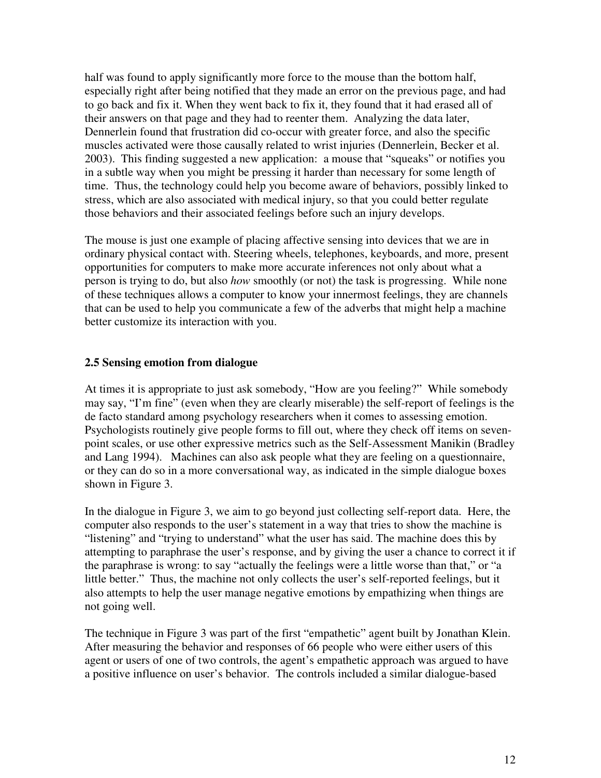half was found to apply significantly more force to the mouse than the bottom half, especially right after being notified that they made an error on the previous page, and had to go back and fix it. When they went back to fix it, they found that it had erased all of their answers on that page and they had to reenter them. Analyzing the data later, Dennerlein found that frustration did co-occur with greater force, and also the specific muscles activated were those causally related to wrist injuries (Dennerlein, Becker et al. 2003). This finding suggested a new application: a mouse that "squeaks" or notifies you in a subtle way when you might be pressing it harder than necessary for some length of time. Thus, the technology could help you become aware of behaviors, possibly linked to stress, which are also associated with medical injury, so that you could better regulate those behaviors and their associated feelings before such an injury develops.

The mouse is just one example of placing affective sensing into devices that we are in ordinary physical contact with. Steering wheels, telephones, keyboards, and more, present opportunities for computers to make more accurate inferences not only about what a person is trying to do, but also *how* smoothly (or not) the task is progressing. While none of these techniques allows a computer to know your innermost feelings, they are channels that can be used to help you communicate a few of the adverbs that might help a machine better customize its interaction with you.

## **2.5 Sensing emotion from dialogue**

At times it is appropriate to just ask somebody, "How are you feeling?" While somebody may say, "I'm fine" (even when they are clearly miserable) the self-report of feelings is the de facto standard among psychology researchers when it comes to assessing emotion. Psychologists routinely give people forms to fill out, where they check off items on sevenpoint scales, or use other expressive metrics such as the Self-Assessment Manikin (Bradley and Lang 1994). Machines can also ask people what they are feeling on a questionnaire, or they can do so in a more conversational way, as indicated in the simple dialogue boxes shown in Figure 3.

In the dialogue in Figure 3, we aim to go beyond just collecting self-report data. Here, the computer also responds to the user's statement in a way that tries to show the machine is "listening" and "trying to understand" what the user has said. The machine does this by attempting to paraphrase the user's response, and by giving the user a chance to correct it if the paraphrase is wrong: to say "actually the feelings were a little worse than that," or "a little better." Thus, the machine not only collects the user's self-reported feelings, but it also attempts to help the user manage negative emotions by empathizing when things are not going well.

The technique in Figure 3 was part of the first "empathetic" agent built by Jonathan Klein. After measuring the behavior and responses of 66 people who were either users of this agent or users of one of two controls, the agent's empathetic approach was argued to have a positive influence on user's behavior. The controls included a similar dialogue-based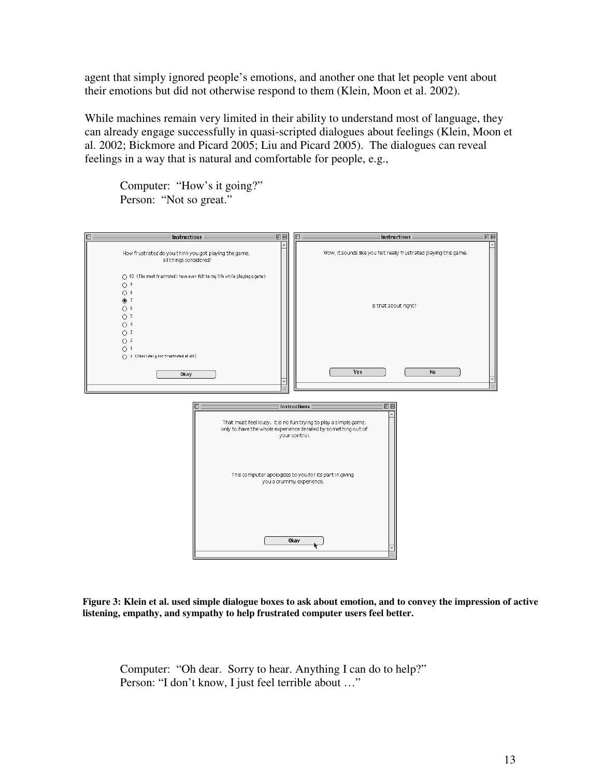agent that simply ignored people's emotions, and another one that let people vent about their emotions but did not otherwise respond to them (Klein, Moon et al. 2002).

While machines remain very limited in their ability to understand most of language, they can already engage successfully in quasi-scripted dialogues about feelings (Klein, Moon et al. 2002; Bickmore and Picard 2005; Liu and Picard 2005). The dialogues can reveal feelings in a way that is natural and comfortable for people, e.g.,

Computer: "How's it going?" Person: "Not so great."



Figure 3: Klein et al. used simple dialogue boxes to ask about emotion, and to convey the impression of active **listening, empathy, and sympathy to help frustrated computer users feel better.**

Computer: "Oh dear. Sorry to hear. Anything I can do to help?" Person: "I don't know, I just feel terrible about …"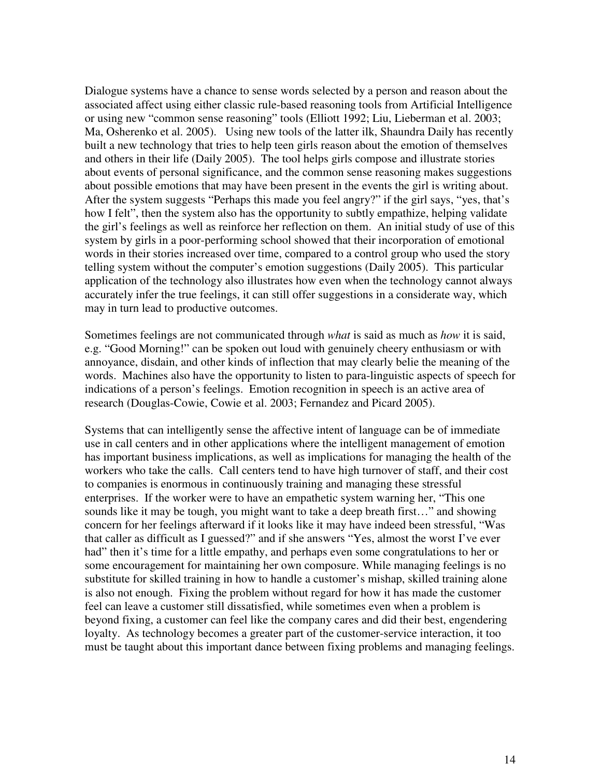Dialogue systems have a chance to sense words selected by a person and reason about the associated affect using either classic rule-based reasoning tools from Artificial Intelligence or using new "common sense reasoning" tools (Elliott 1992; Liu, Lieberman et al. 2003; Ma, Osherenko et al. 2005). Using new tools of the latter ilk, Shaundra Daily has recently built a new technology that tries to help teen girls reason about the emotion of themselves and others in their life (Daily 2005). The tool helps girls compose and illustrate stories about events of personal significance, and the common sense reasoning makes suggestions about possible emotions that may have been present in the events the girl is writing about. After the system suggests "Perhaps this made you feel angry?" if the girl says, "yes, that's how I felt", then the system also has the opportunity to subtly empathize, helping validate the girl's feelings as well as reinforce her reflection on them. An initial study of use of this system by girls in a poor-performing school showed that their incorporation of emotional words in their stories increased over time, compared to a control group who used the story telling system without the computer's emotion suggestions (Daily 2005). This particular application of the technology also illustrates how even when the technology cannot always accurately infer the true feelings, it can still offer suggestions in a considerate way, which may in turn lead to productive outcomes.

Sometimes feelings are not communicated through *what* is said as much as *how* it is said, e.g. "Good Morning!" can be spoken out loud with genuinely cheery enthusiasm or with annoyance, disdain, and other kinds of inflection that may clearly belie the meaning of the words. Machines also have the opportunity to listen to para-linguistic aspects of speech for indications of a person's feelings. Emotion recognition in speech is an active area of research (Douglas-Cowie, Cowie et al. 2003; Fernandez and Picard 2005).

Systems that can intelligently sense the affective intent of language can be of immediate use in call centers and in other applications where the intelligent management of emotion has important business implications, as well as implications for managing the health of the workers who take the calls. Call centers tend to have high turnover of staff, and their cost to companies is enormous in continuously training and managing these stressful enterprises. If the worker were to have an empathetic system warning her, "This one sounds like it may be tough, you might want to take a deep breath first…" and showing concern for her feelings afterward if it looks like it may have indeed been stressful, "Was that caller as difficult as I guessed?" and if she answers "Yes, almost the worst I've ever had" then it's time for a little empathy, and perhaps even some congratulations to her or some encouragement for maintaining her own composure. While managing feelings is no substitute for skilled training in how to handle a customer's mishap, skilled training alone is also not enough. Fixing the problem without regard for how it has made the customer feel can leave a customer still dissatisfied, while sometimes even when a problem is beyond fixing, a customer can feel like the company cares and did their best, engendering loyalty. As technology becomes a greater part of the customer-service interaction, it too must be taught about this important dance between fixing problems and managing feelings.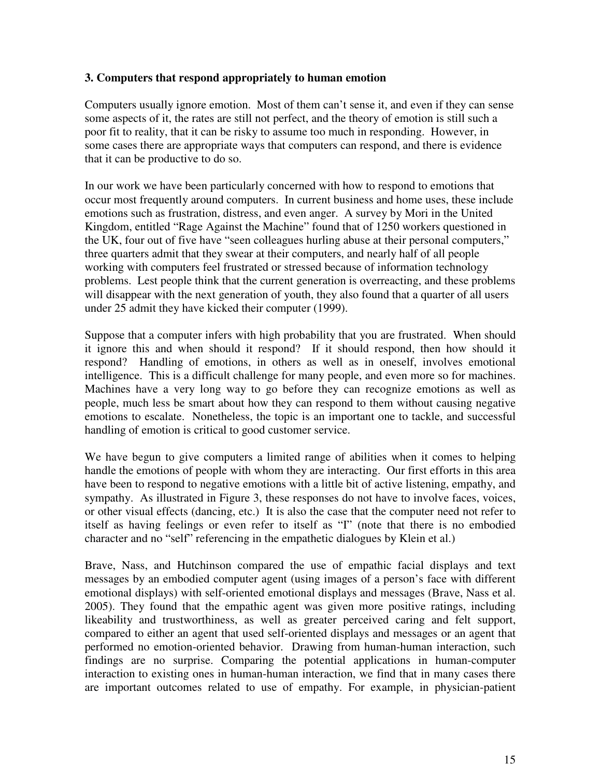## **3. Computers that respond appropriately to human emotion**

Computers usually ignore emotion. Most of them can't sense it, and even if they can sense some aspects of it, the rates are still not perfect, and the theory of emotion is still such a poor fit to reality, that it can be risky to assume too much in responding. However, in some cases there are appropriate ways that computers can respond, and there is evidence that it can be productive to do so.

In our work we have been particularly concerned with how to respond to emotions that occur most frequently around computers. In current business and home uses, these include emotions such as frustration, distress, and even anger. A survey by Mori in the United Kingdom, entitled "Rage Against the Machine" found that of 1250 workers questioned in the UK, four out of five have "seen colleagues hurling abuse at their personal computers," three quarters admit that they swear at their computers, and nearly half of all people working with computers feel frustrated or stressed because of information technology problems. Lest people think that the current generation is overreacting, and these problems will disappear with the next generation of youth, they also found that a quarter of all users under 25 admit they have kicked their computer (1999).

Suppose that a computer infers with high probability that you are frustrated. When should it ignore this and when should it respond? If it should respond, then how should it respond? Handling of emotions, in others as well as in oneself, involves emotional intelligence. This is a difficult challenge for many people, and even more so for machines. Machines have a very long way to go before they can recognize emotions as well as people, much less be smart about how they can respond to them without causing negative emotions to escalate. Nonetheless, the topic is an important one to tackle, and successful handling of emotion is critical to good customer service.

We have begun to give computers a limited range of abilities when it comes to helping handle the emotions of people with whom they are interacting. Our first efforts in this area have been to respond to negative emotions with a little bit of active listening, empathy, and sympathy. As illustrated in Figure 3, these responses do not have to involve faces, voices, or other visual effects (dancing, etc.) It is also the case that the computer need not refer to itself as having feelings or even refer to itself as "I" (note that there is no embodied character and no "self" referencing in the empathetic dialogues by Klein et al.)

Brave, Nass, and Hutchinson compared the use of empathic facial displays and text messages by an embodied computer agent (using images of a person's face with different emotional displays) with self-oriented emotional displays and messages (Brave, Nass et al. 2005). They found that the empathic agent was given more positive ratings, including likeability and trustworthiness, as well as greater perceived caring and felt support, compared to either an agent that used self-oriented displays and messages or an agent that performed no emotion-oriented behavior. Drawing from human-human interaction, such findings are no surprise. Comparing the potential applications in human-computer interaction to existing ones in human-human interaction, we find that in many cases there are important outcomes related to use of empathy. For example, in physician-patient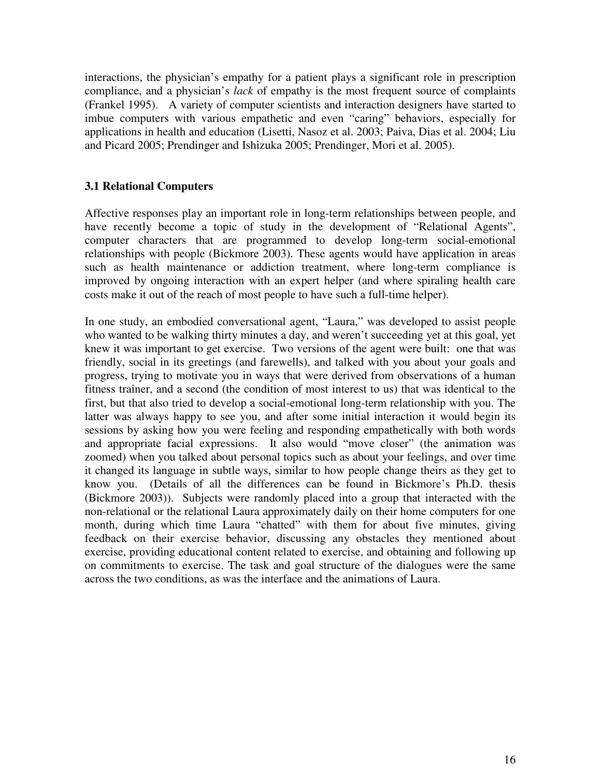interactions, the physician's empathy for a patient plays a significant role in prescription compliance, and a physician's *lack* of empathy is the most frequent source of complaints (Frankel 1995). A variety of computer scientists and interaction designers have started to imbue computers with various empathetic and even "caring" behaviors, especially for applications in health and education (Lisetti, Nasoz et al. 2003; Paiva, Dias et al. 2004; Liu and Picard 2005; Prendinger and Ishizuka 2005; Prendinger, Mori et al. 2005).

## **3.1 Relational Computers**

Affective responses play an important role in long-term relationships between people, and have recently become a topic of study in the development of "Relational Agents", computer characters that are programmed to develop long-term social-emotional relationships with people (Bickmore 2003). These agents would have application in areas such as health maintenance or addiction treatment, where long-term compliance is improved by ongoing interaction with an expert helper (and where spiraling health care costs make it out of the reach of most people to have such a full-time helper).

In one study, an embodied conversational agent, "Laura," was developed to assist people who wanted to be walking thirty minutes a day, and weren't succeeding yet at this goal, yet knew it was important to get exercise. Two versions of the agent were built: one that was friendly, social in its greetings (and farewells), and talked with you about your goals and progress, trying to motivate you in ways that were derived from observations of a human fitness trainer, and a second (the condition of most interest to us) that was identical to the first, but that also tried to develop a social-emotional long-term relationship with you. The latter was always happy to see you, and after some initial interaction it would begin its sessions by asking how you were feeling and responding empathetically with both words and appropriate facial expressions. It also would "move closer" (the animation was zoomed) when you talked about personal topics such as about your feelings, and over time it changed its language in subtle ways, similar to how people change theirs as they get to know you. (Details of all the differences can be found in Bickmore's Ph.D. thesis (Bickmore 2003)). Subjects were randomly placed into a group that interacted with the non-relational or the relational Laura approximately daily on their home computers for one month, during which time Laura "chatted" with them for about five minutes, giving feedback on their exercise behavior, discussing any obstacles they mentioned about exercise, providing educational content related to exercise, and obtaining and following up on commitments to exercise. The task and goal structure of the dialogues were the same across the two conditions, as was the interface and the animations of Laura.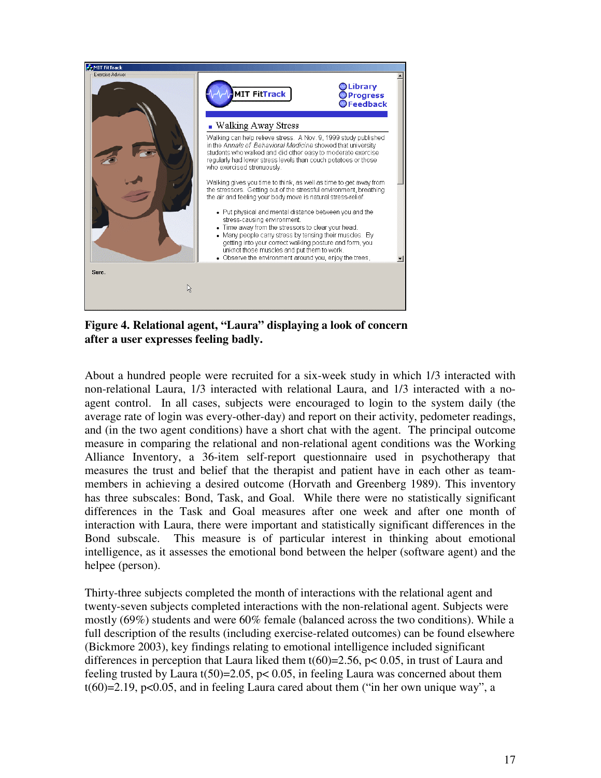

**Figure 4. Relational agent, "Laura" displaying a look of concern after a user expresses feeling badly.**

About a hundred people were recruited for a six-week study in which 1/3 interacted with non-relational Laura, 1/3 interacted with relational Laura, and 1/3 interacted with a noagent control. In all cases, subjects were encouraged to login to the system daily (the average rate of login was every-other-day) and report on their activity, pedometer readings, and (in the two agent conditions) have a short chat with the agent. The principal outcome measure in comparing the relational and non-relational agent conditions was the Working Alliance Inventory, a 36-item self-report questionnaire used in psychotherapy that measures the trust and belief that the therapist and patient have in each other as teammembers in achieving a desired outcome (Horvath and Greenberg 1989). This inventory has three subscales: Bond, Task, and Goal. While there were no statistically significant differences in the Task and Goal measures after one week and after one month of interaction with Laura, there were important and statistically significant differences in the Bond subscale. This measure is of particular interest in thinking about emotional intelligence, as it assesses the emotional bond between the helper (software agent) and the helpee (person).

Thirty-three subjects completed the month of interactions with the relational agent and twenty-seven subjects completed interactions with the non-relational agent. Subjects were mostly (69%) students and were 60% female (balanced across the two conditions). While a full description of the results (including exercise-related outcomes) can be found elsewhere (Bickmore 2003), key findings relating to emotional intelligence included significant differences in perception that Laura liked them  $t(60)=2.56$ ,  $p< 0.05$ , in trust of Laura and feeling trusted by Laura t(50)=2.05, p< 0.05, in feeling Laura was concerned about them  $t(60)=2.19$ ,  $p<0.05$ , and in feeling Laura cared about them ("in her own unique way", a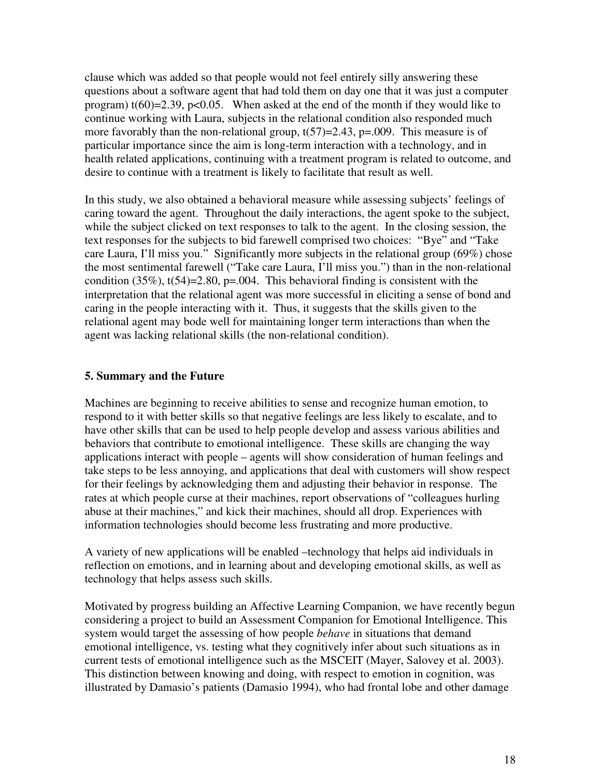clause which was added so that people would not feel entirely silly answering these questions about a software agent that had told them on day one that it was just a computer program)  $t(60)=2.39$ ,  $p<0.05$ . When asked at the end of the month if they would like to continue working with Laura, subjects in the relational condition also responded much more favorably than the non-relational group,  $t(57)=2.43$ ,  $p=.009$ . This measure is of particular importance since the aim is long-term interaction with a technology, and in health related applications, continuing with a treatment program is related to outcome, and desire to continue with a treatment is likely to facilitate that result as well.

In this study, we also obtained a behavioral measure while assessing subjects' feelings of caring toward the agent. Throughout the daily interactions, the agent spoke to the subject, while the subject clicked on text responses to talk to the agent. In the closing session, the text responses for the subjects to bid farewell comprised two choices: "Bye" and "Take care Laura, I'll miss you." Significantly more subjects in the relational group (69%) chose the most sentimental farewell ("Take care Laura, I'll miss you.") than in the non-relational condition  $(35\%)$ ,  $t(54)=2.80$ ,  $p=.004$ . This behavioral finding is consistent with the interpretation that the relational agent was more successful in eliciting a sense of bond and caring in the people interacting with it. Thus, it suggests that the skills given to the relational agent may bode well for maintaining longer term interactions than when the agent was lacking relational skills (the non-relational condition).

# **5. Summary and the Future**

Machines are beginning to receive abilities to sense and recognize human emotion, to respond to it with better skills so that negative feelings are less likely to escalate, and to have other skills that can be used to help people develop and assess various abilities and behaviors that contribute to emotional intelligence. These skills are changing the way applications interact with people – agents will show consideration of human feelings and take steps to be less annoying, and applications that deal with customers will show respect for their feelings by acknowledging them and adjusting their behavior in response. The rates at which people curse at their machines, report observations of "colleagues hurling abuse at their machines," and kick their machines, should all drop. Experiences with information technologies should become less frustrating and more productive.

A variety of new applications will be enabled –technology that helps aid individuals in reflection on emotions, and in learning about and developing emotional skills, as well as technology that helps assess such skills.

Motivated by progress building an Affective Learning Companion, we have recently begun considering a project to build an Assessment Companion for Emotional Intelligence. This system would target the assessing of how people *behave* in situations that demand emotional intelligence, vs. testing what they cognitively infer about such situations as in current tests of emotional intelligence such as the MSCEIT (Mayer, Salovey et al. 2003). This distinction between knowing and doing, with respect to emotion in cognition, was illustrated by Damasio's patients (Damasio 1994), who had frontal lobe and other damage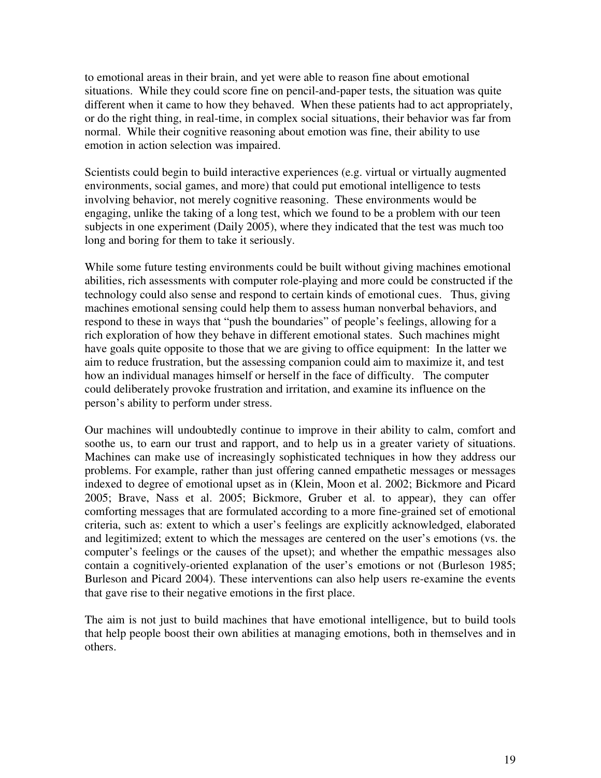to emotional areas in their brain, and yet were able to reason fine about emotional situations. While they could score fine on pencil-and-paper tests, the situation was quite different when it came to how they behaved. When these patients had to act appropriately, or do the right thing, in real-time, in complex social situations, their behavior was far from normal. While their cognitive reasoning about emotion was fine, their ability to use emotion in action selection was impaired.

Scientists could begin to build interactive experiences (e.g. virtual or virtually augmented environments, social games, and more) that could put emotional intelligence to tests involving behavior, not merely cognitive reasoning. These environments would be engaging, unlike the taking of a long test, which we found to be a problem with our teen subjects in one experiment (Daily 2005), where they indicated that the test was much too long and boring for them to take it seriously.

While some future testing environments could be built without giving machines emotional abilities, rich assessments with computer role-playing and more could be constructed if the technology could also sense and respond to certain kinds of emotional cues. Thus, giving machines emotional sensing could help them to assess human nonverbal behaviors, and respond to these in ways that "push the boundaries" of people's feelings, allowing for a rich exploration of how they behave in different emotional states. Such machines might have goals quite opposite to those that we are giving to office equipment: In the latter we aim to reduce frustration, but the assessing companion could aim to maximize it, and test how an individual manages himself or herself in the face of difficulty. The computer could deliberately provoke frustration and irritation, and examine its influence on the person's ability to perform under stress.

Our machines will undoubtedly continue to improve in their ability to calm, comfort and soothe us, to earn our trust and rapport, and to help us in a greater variety of situations. Machines can make use of increasingly sophisticated techniques in how they address our problems. For example, rather than just offering canned empathetic messages or messages indexed to degree of emotional upset as in (Klein, Moon et al. 2002; Bickmore and Picard 2005; Brave, Nass et al. 2005; Bickmore, Gruber et al. to appear), they can offer comforting messages that are formulated according to a more fine-grained set of emotional criteria, such as: extent to which a user's feelings are explicitly acknowledged, elaborated and legitimized; extent to which the messages are centered on the user's emotions (vs. the computer's feelings or the causes of the upset); and whether the empathic messages also contain a cognitively-oriented explanation of the user's emotions or not (Burleson 1985; Burleson and Picard 2004). These interventions can also help users re-examine the events that gave rise to their negative emotions in the first place.

The aim is not just to build machines that have emotional intelligence, but to build tools that help people boost their own abilities at managing emotions, both in themselves and in others.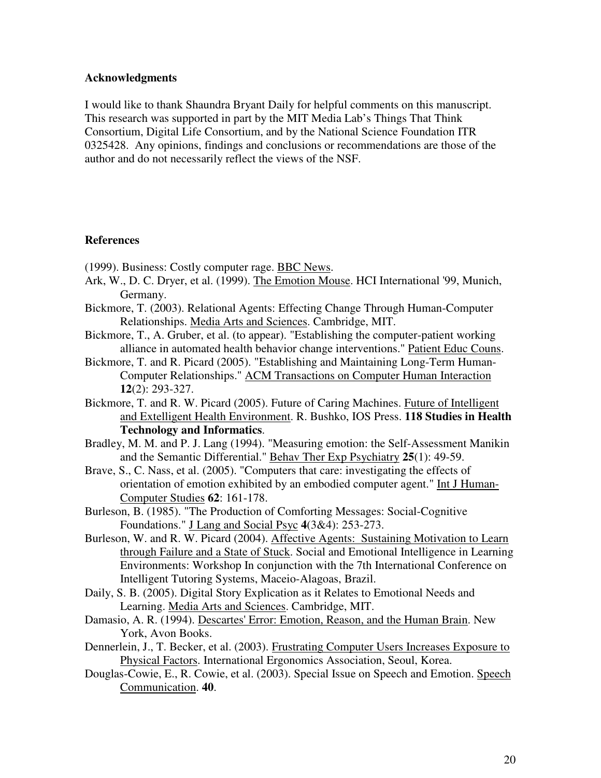#### **Acknowledgments**

I would like to thank Shaundra Bryant Daily for helpful comments on this manuscript. This research was supported in part by the MIT Media Lab's Things That Think Consortium, Digital Life Consortium, and by the National Science Foundation ITR 0325428. Any opinions, findings and conclusions or recommendations are those of the author and do not necessarily reflect the views of the NSF.

#### **References**

- (1999). Business: Costly computer rage. BBC News.
- Ark, W., D. C. Dryer, et al. (1999). The Emotion Mouse. HCI International '99, Munich, Germany.
- Bickmore, T. (2003). Relational Agents: Effecting Change Through Human-Computer Relationships. Media Arts and Sciences. Cambridge, MIT.
- Bickmore, T., A. Gruber, et al. (to appear). "Establishing the computer-patient working alliance in automated health behavior change interventions." Patient Educ Couns.
- Bickmore, T. and R. Picard (2005). "Establishing and Maintaining Long-Term Human-Computer Relationships." ACM Transactions on Computer Human Interaction **12**(2): 293-327.
- Bickmore, T. and R. W. Picard (2005). Future of Caring Machines. Future of Intelligent and Extelligent Health Environment. R. Bushko, IOS Press. **118 Studies in Health Technology and Informatics**.
- Bradley, M. M. and P. J. Lang (1994). "Measuring emotion: the Self-Assessment Manikin and the Semantic Differential." Behav Ther Exp Psychiatry **25**(1): 49-59.
- Brave, S., C. Nass, et al. (2005). "Computers that care: investigating the effects of orientation of emotion exhibited by an embodied computer agent." Int J Human-Computer Studies **62**: 161-178.
- Burleson, B. (1985). "The Production of Comforting Messages: Social-Cognitive Foundations." J Lang and Social Psyc **4**(3&4): 253-273.
- Burleson, W. and R. W. Picard (2004). Affective Agents: Sustaining Motivation to Learn through Failure and a State of Stuck. Social and Emotional Intelligence in Learning Environments: Workshop In conjunction with the 7th International Conference on Intelligent Tutoring Systems, Maceio-Alagoas, Brazil.
- Daily, S. B. (2005). Digital Story Explication as it Relates to Emotional Needs and Learning. Media Arts and Sciences. Cambridge, MIT.
- Damasio, A. R. (1994). Descartes' Error: Emotion, Reason, and the Human Brain. New York, Avon Books.
- Dennerlein, J., T. Becker, et al. (2003). Frustrating Computer Users Increases Exposure to Physical Factors. International Ergonomics Association, Seoul, Korea.
- Douglas-Cowie, E., R. Cowie, et al. (2003). Special Issue on Speech and Emotion. Speech Communication. **40**.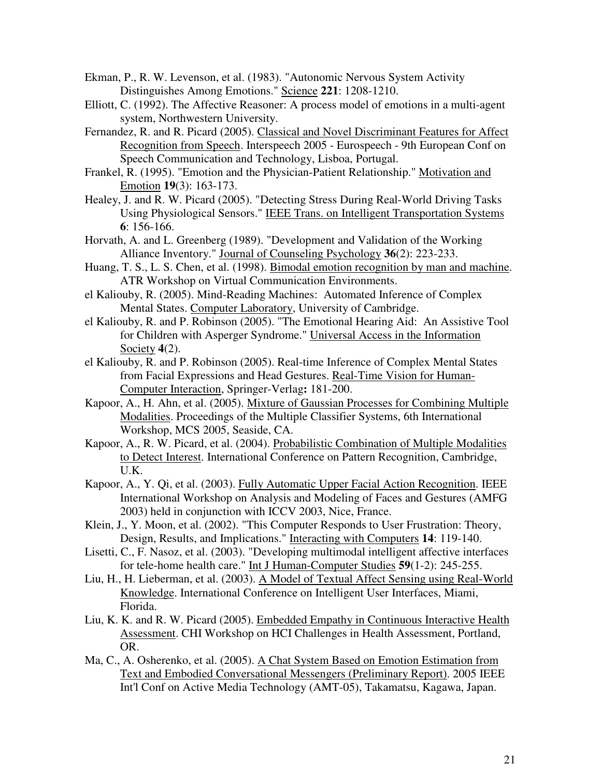- Ekman, P., R. W. Levenson, et al. (1983). "Autonomic Nervous System Activity Distinguishes Among Emotions." Science **221**: 1208-1210.
- Elliott, C. (1992). The Affective Reasoner: A process model of emotions in a multi-agent system, Northwestern University.
- Fernandez, R. and R. Picard (2005). Classical and Novel Discriminant Features for Affect Recognition from Speech. Interspeech 2005 - Eurospeech - 9th European Conf on Speech Communication and Technology, Lisboa, Portugal.
- Frankel, R. (1995). "Emotion and the Physician-Patient Relationship." Motivation and Emotion **19**(3): 163-173.
- Healey, J. and R. W. Picard (2005). "Detecting Stress During Real-World Driving Tasks Using Physiological Sensors." IEEE Trans. on Intelligent Transportation Systems **6**: 156-166.
- Horvath, A. and L. Greenberg (1989). "Development and Validation of the Working Alliance Inventory." Journal of Counseling Psychology **36**(2): 223-233.
- Huang, T. S., L. S. Chen, et al. (1998). Bimodal emotion recognition by man and machine. ATR Workshop on Virtual Communication Environments.
- el Kaliouby, R. (2005). Mind-Reading Machines: Automated Inference of Complex Mental States. Computer Laboratory, University of Cambridge.
- el Kaliouby, R. and P. Robinson (2005). "The Emotional Hearing Aid: An Assistive Tool for Children with Asperger Syndrome." Universal Access in the Information Society **4**(2).
- el Kaliouby, R. and P. Robinson (2005). Real-time Inference of Complex Mental States from Facial Expressions and Head Gestures. Real-Time Vision for Human-Computer Interaction, Springer-Verlag**:** 181-200.
- Kapoor, A., H. Ahn, et al. (2005). Mixture of Gaussian Processes for Combining Multiple Modalities. Proceedings of the Multiple Classifier Systems, 6th International Workshop, MCS 2005, Seaside, CA.
- Kapoor, A., R. W. Picard, et al. (2004). Probabilistic Combination of Multiple Modalities to Detect Interest. International Conference on Pattern Recognition, Cambridge, U.K.
- Kapoor, A., Y. Qi, et al. (2003). Fully Automatic Upper Facial Action Recognition. IEEE International Workshop on Analysis and Modeling of Faces and Gestures (AMFG 2003) held in conjunction with ICCV 2003, Nice, France.
- Klein, J., Y. Moon, et al. (2002). "This Computer Responds to User Frustration: Theory, Design, Results, and Implications." Interacting with Computers **14**: 119-140.
- Lisetti, C., F. Nasoz, et al. (2003). "Developing multimodal intelligent affective interfaces for tele-home health care." Int J Human-Computer Studies **59**(1-2): 245-255.
- Liu, H., H. Lieberman, et al. (2003). A Model of Textual Affect Sensing using Real-World Knowledge. International Conference on Intelligent User Interfaces, Miami, Florida.
- Liu, K. K. and R. W. Picard (2005). Embedded Empathy in Continuous Interactive Health Assessment. CHI Workshop on HCI Challenges in Health Assessment, Portland, OR.
- Ma, C., A. Osherenko, et al. (2005). A Chat System Based on Emotion Estimation from Text and Embodied Conversational Messengers (Preliminary Report). 2005 IEEE Int'l Conf on Active Media Technology (AMT-05), Takamatsu, Kagawa, Japan.